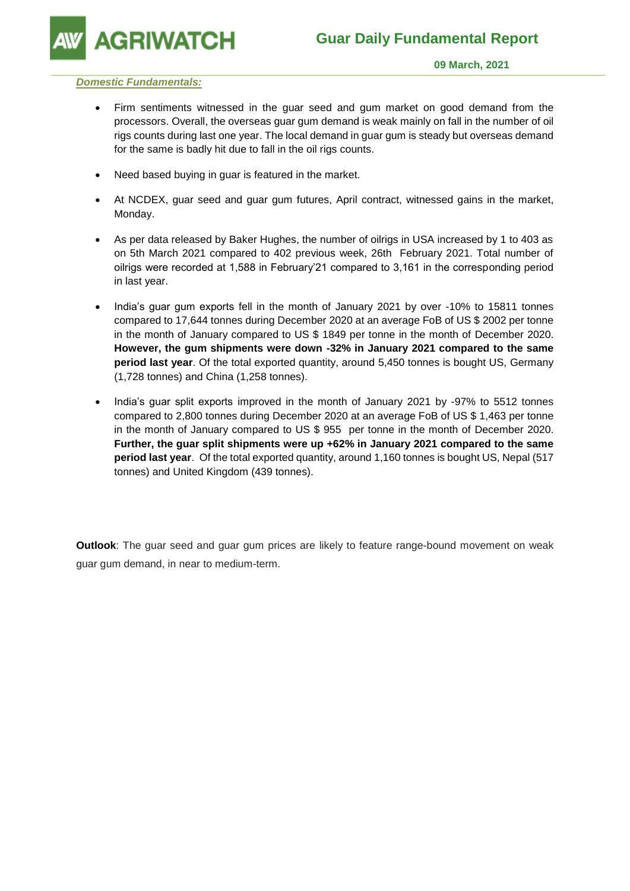**GRIWATCH** 

#### *Domestic Fundamentals:*

- Firm sentiments witnessed in the guar seed and gum market on good demand from the processors. Overall, the overseas guar gum demand is weak mainly on fall in the number of oil rigs counts during last one year. The local demand in guar gum is steady but overseas demand for the same is badly hit due to fall in the oil rigs counts.
- Need based buying in guar is featured in the market.
- At NCDEX, guar seed and guar gum futures, April contract, witnessed gains in the market, Monday.
- As per data released by Baker Hughes, the number of oilrigs in USA increased by 1 to 403 as on 5th March 2021 compared to 402 previous week, 26th February 2021. Total number of oilrigs were recorded at 1,588 in February'21 compared to 3,161 in the corresponding period in last year.
- India's guar gum exports fell in the month of January 2021 by over -10% to 15811 tonnes compared to 17,644 tonnes during December 2020 at an average FoB of US \$ 2002 per tonne in the month of January compared to US \$ 1849 per tonne in the month of December 2020. **However, the gum shipments were down -32% in January 2021 compared to the same period last year**. Of the total exported quantity, around 5,450 tonnes is bought US, Germany (1,728 tonnes) and China (1,258 tonnes).
- India's guar split exports improved in the month of January 2021 by -97% to 5512 tonnes compared to 2,800 tonnes during December 2020 at an average FoB of US \$ 1,463 per tonne in the month of January compared to US \$ 955 per tonne in the month of December 2020. **Further, the guar split shipments were up +62% in January 2021 compared to the same period last year**. Of the total exported quantity, around 1,160 tonnes is bought US, Nepal (517 tonnes) and United Kingdom (439 tonnes).

**Outlook**: The guar seed and guar gum prices are likely to feature range-bound movement on weak guar gum demand, in near to medium-term.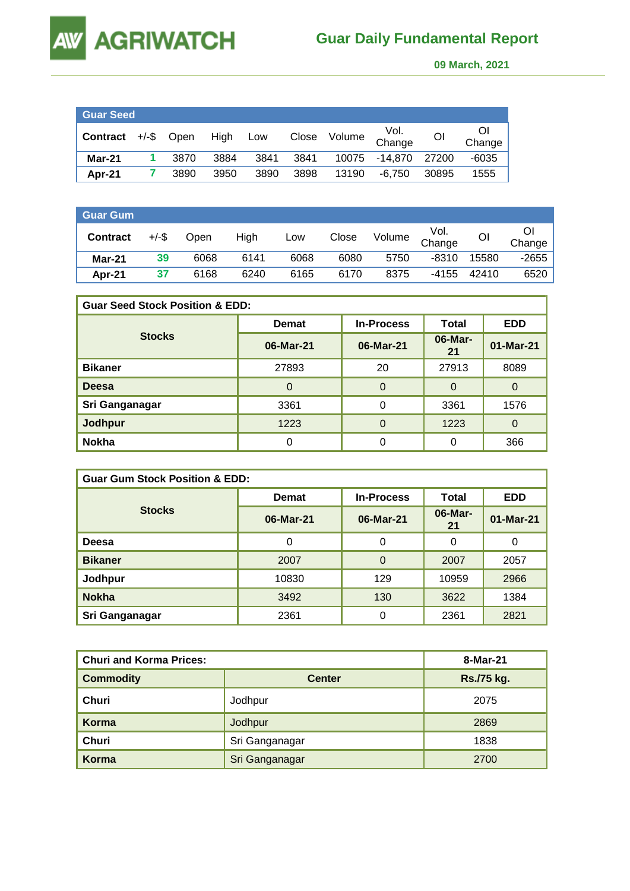# AGRIWATCH

**AW** 

### **Guar Daily Fundamental Report**

 **09 March, 2021** 

| <b>Guar Seed</b> |               |          |      |       |        |                |       |              |
|------------------|---------------|----------|------|-------|--------|----------------|-------|--------------|
| Contract         | $+/-$ \$ Open | High Low |      | Close | Volume | Vol.<br>Change | ΟI    | Οl<br>Change |
| Mar-21           | 3870          | 3884     | 3841 | 3841  | 10075  | -14.870        | 27200 | $-6035$      |
| Apr-21           | 3890          | 3950     | 3890 | 3898  | 13190  | -6.750         | 30895 | 1555         |

| <b>Guar Gum</b> |          |      |      |      |       |        |                |       |        |
|-----------------|----------|------|------|------|-------|--------|----------------|-------|--------|
| <b>Contract</b> | $+/-$ \$ | Open | High | Low  | Close | Volume | Vol.<br>Change | OI    | Change |
| $Mar-21$        | 39       | 6068 | 6141 | 6068 | 6080  | 5750   | $-8310$        | 15580 | -2655  |
| Apr-21          | 37       | 6168 | 6240 | 6165 | 6170  | 8375   | $-4155$        | 42410 | 6520   |

| <b>Guar Seed Stock Position &amp; EDD:</b> |              |                   |               |            |  |  |  |
|--------------------------------------------|--------------|-------------------|---------------|------------|--|--|--|
|                                            | <b>Demat</b> | <b>In-Process</b> | <b>Total</b>  | <b>EDD</b> |  |  |  |
| <b>Stocks</b>                              | 06-Mar-21    | 06-Mar-21         | 06-Mar-<br>21 | 01-Mar-21  |  |  |  |
| <b>Bikaner</b>                             | 27893        | 20                | 27913         | 8089       |  |  |  |
| <b>Deesa</b>                               | 0            | $\Omega$          | 0             | 0          |  |  |  |
| Sri Ganganagar                             | 3361         | 0                 | 3361          | 1576       |  |  |  |
| <b>Jodhpur</b>                             | 1223         | 0                 | 1223          | 0          |  |  |  |
| <b>Nokha</b>                               |              | 0                 | 0             | 366        |  |  |  |

| <b>Guar Gum Stock Position &amp; EDD:</b> |              |                   |               |            |  |  |  |
|-------------------------------------------|--------------|-------------------|---------------|------------|--|--|--|
|                                           | <b>Demat</b> | <b>In-Process</b> | Total         | <b>EDD</b> |  |  |  |
| <b>Stocks</b>                             | 06-Mar-21    | 06-Mar-21         | 06-Mar-<br>21 | 01-Mar-21  |  |  |  |
| Deesa                                     | 0            | 0                 | 0             | 0          |  |  |  |
| <b>Bikaner</b>                            | 2007         | $\Omega$          | 2007          | 2057       |  |  |  |
| Jodhpur                                   | 10830        | 129               | 10959         | 2966       |  |  |  |
| <b>Nokha</b>                              | 3492         | 130               | 3622          | 1384       |  |  |  |
| Sri Ganganagar                            | 2361         | $\Omega$          | 2361          | 2821       |  |  |  |

| <b>Churi and Korma Prices:</b> | 8-Mar-21       |            |
|--------------------------------|----------------|------------|
| <b>Commodity</b>               | <b>Center</b>  | Rs./75 kg. |
| Churi                          | Jodhpur        | 2075       |
| Korma                          | Jodhpur        | 2869       |
| Churi                          | Sri Ganganagar | 1838       |
| Korma                          | Sri Ganganagar | 2700       |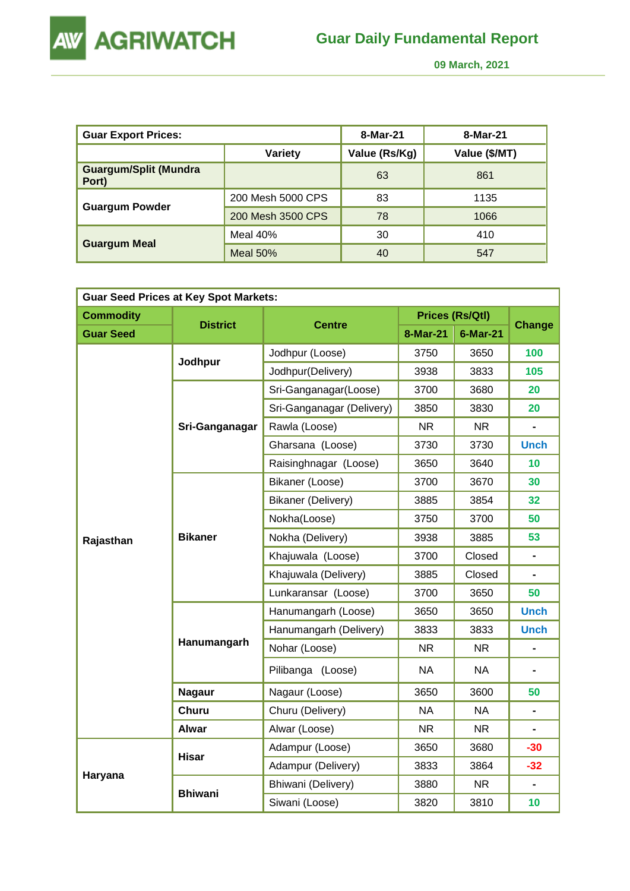

 **09 March, 2021** 

| <b>Guar Export Prices:</b>            |                   | 8-Mar-21      | 8-Mar-21      |
|---------------------------------------|-------------------|---------------|---------------|
|                                       | Variety           | Value (Rs/Kg) | Value (\$/MT) |
| <b>Guargum/Split (Mundra</b><br>Port) |                   | 63            | 861           |
|                                       | 200 Mesh 5000 CPS | 83            | 1135          |
| <b>Guargum Powder</b>                 | 200 Mesh 3500 CPS | 78            | 1066          |
|                                       | Meal $40%$        | 30            | 410           |
| <b>Guargum Meal</b>                   | Meal $50%$        | 40            | 547           |

| <b>Guar Seed Prices at Key Spot Markets:</b> |                 |                           |           |                        |                |  |  |  |
|----------------------------------------------|-----------------|---------------------------|-----------|------------------------|----------------|--|--|--|
| <b>Commodity</b>                             |                 |                           |           | <b>Prices (Rs/Qtl)</b> |                |  |  |  |
| <b>Guar Seed</b>                             | <b>District</b> | <b>Centre</b>             | 8-Mar-21  | 6-Mar-21               | <b>Change</b>  |  |  |  |
|                                              |                 | Jodhpur (Loose)           | 3750      | 3650                   | 100            |  |  |  |
|                                              | Jodhpur         | Jodhpur(Delivery)         | 3938      | 3833                   | 105            |  |  |  |
|                                              |                 | Sri-Ganganagar(Loose)     | 3700      | 3680                   | 20             |  |  |  |
|                                              |                 | Sri-Ganganagar (Delivery) | 3850      | 3830                   | 20             |  |  |  |
|                                              | Sri-Ganganagar  | Rawla (Loose)             | <b>NR</b> | <b>NR</b>              |                |  |  |  |
|                                              |                 | Gharsana (Loose)          | 3730      | 3730                   | <b>Unch</b>    |  |  |  |
|                                              |                 | Raisinghnagar (Loose)     | 3650      | 3640                   | 10             |  |  |  |
|                                              | <b>Bikaner</b>  | Bikaner (Loose)           | 3700      | 3670                   | 30             |  |  |  |
|                                              |                 | Bikaner (Delivery)        | 3885      | 3854                   | 32             |  |  |  |
|                                              |                 | Nokha(Loose)              | 3750      | 3700                   | 50             |  |  |  |
| Rajasthan                                    |                 | Nokha (Delivery)          | 3938      | 3885                   | 53             |  |  |  |
|                                              |                 | Khajuwala (Loose)         | 3700      | Closed                 | $\blacksquare$ |  |  |  |
|                                              |                 | Khajuwala (Delivery)      | 3885      | Closed                 |                |  |  |  |
|                                              |                 | Lunkaransar (Loose)       | 3700      | 3650                   | 50             |  |  |  |
|                                              |                 | Hanumangarh (Loose)       | 3650      | 3650                   | <b>Unch</b>    |  |  |  |
|                                              |                 | Hanumangarh (Delivery)    | 3833      | 3833                   | <b>Unch</b>    |  |  |  |
|                                              | Hanumangarh     | Nohar (Loose)             | <b>NR</b> | <b>NR</b>              | $\blacksquare$ |  |  |  |
|                                              |                 | Pilibanga (Loose)         | <b>NA</b> | <b>NA</b>              |                |  |  |  |
|                                              | <b>Nagaur</b>   | Nagaur (Loose)            | 3650      | 3600                   | 50             |  |  |  |
|                                              | Churu           | Churu (Delivery)          | <b>NA</b> | <b>NA</b>              | $\blacksquare$ |  |  |  |
|                                              | <b>Alwar</b>    | Alwar (Loose)             | <b>NR</b> | <b>NR</b>              |                |  |  |  |
|                                              | <b>Hisar</b>    | Adampur (Loose)           | 3650      | 3680                   | $-30$          |  |  |  |
|                                              |                 | Adampur (Delivery)        | 3833      | 3864                   | $-32$          |  |  |  |
| Haryana                                      |                 | Bhiwani (Delivery)        | 3880      | <b>NR</b>              |                |  |  |  |
|                                              | <b>Bhiwani</b>  | Siwani (Loose)            | 3820      | 3810                   | 10             |  |  |  |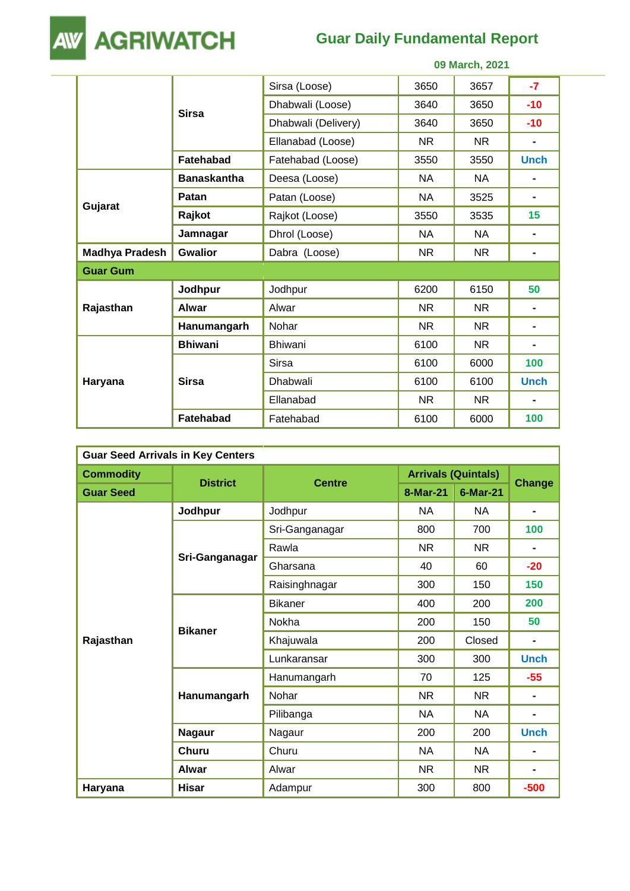

## **Guar Daily Fundamental Report**

 **09 March, 2021** 

|                       |                    | Sirsa (Loose)       | 3650      | 3657      | $-7$        |
|-----------------------|--------------------|---------------------|-----------|-----------|-------------|
|                       | <b>Sirsa</b>       | Dhabwali (Loose)    | 3640      | 3650      | $-10$       |
|                       |                    | Dhabwali (Delivery) | 3640      | 3650      | $-10$       |
|                       |                    | Ellanabad (Loose)   | NR.       | NR.       | ۰           |
|                       | Fatehabad          | Fatehabad (Loose)   | 3550      | 3550      | <b>Unch</b> |
|                       | <b>Banaskantha</b> | Deesa (Loose)       | <b>NA</b> | <b>NA</b> |             |
|                       | Patan              | Patan (Loose)       | <b>NA</b> | 3525      | -           |
| Gujarat               | Rajkot             | Rajkot (Loose)      | 3550      | 3535      | 15          |
|                       | Jamnagar           | Dhrol (Loose)       | <b>NA</b> | <b>NA</b> | -           |
| <b>Madhya Pradesh</b> | <b>Gwalior</b>     | Dabra (Loose)       | <b>NR</b> | <b>NR</b> | ۰           |
| <b>Guar Gum</b>       |                    |                     |           |           |             |
|                       | Jodhpur            | Jodhpur             | 6200      | 6150      | 50          |
| Rajasthan             | <b>Alwar</b>       | Alwar               | <b>NR</b> | <b>NR</b> |             |
|                       | Hanumangarh        | Nohar               | NR.       | NR.       |             |
|                       | <b>Bhiwani</b>     | <b>Bhiwani</b>      | 6100      | <b>NR</b> |             |
| Haryana               |                    | <b>Sirsa</b>        | 6100      | 6000      | 100         |
|                       | <b>Sirsa</b>       | Dhabwali            | 6100      | 6100      | <b>Unch</b> |
|                       |                    | Ellanabad           | <b>NR</b> | <b>NR</b> | ۰           |
|                       | Fatehabad          | Fatehabad           | 6100      | 6000      | 100         |

| <b>Guar Seed Arrivals in Key Centers</b> |                 |                |                            |                 |                |  |  |
|------------------------------------------|-----------------|----------------|----------------------------|-----------------|----------------|--|--|
| <b>Commodity</b>                         |                 | <b>Centre</b>  | <b>Arrivals (Quintals)</b> |                 |                |  |  |
| <b>Guar Seed</b>                         | <b>District</b> |                | 8-Mar-21                   | <b>6-Mar-21</b> | <b>Change</b>  |  |  |
|                                          | Jodhpur         | Jodhpur        | <b>NA</b>                  | <b>NA</b>       | $\blacksquare$ |  |  |
|                                          |                 | Sri-Ganganagar | 800                        | 700             | 100            |  |  |
|                                          |                 | Rawla          | NR.                        | <b>NR</b>       | $\blacksquare$ |  |  |
|                                          | Sri-Ganganagar  | Gharsana       | 40                         | 60              | $-20$          |  |  |
|                                          |                 | Raisinghnagar  | 300                        | 150             | 150            |  |  |
|                                          | <b>Bikaner</b>  | <b>Bikaner</b> | 400                        | 200             | 200            |  |  |
|                                          |                 | Nokha          | 200                        | 150             | 50             |  |  |
| Rajasthan                                |                 | Khajuwala      | 200                        | Closed          | $\blacksquare$ |  |  |
|                                          |                 | Lunkaransar    | 300                        | 300             | <b>Unch</b>    |  |  |
|                                          |                 | Hanumangarh    | 70                         | 125             | $-55$          |  |  |
|                                          | Hanumangarh     | Nohar          | NR                         | NR.             |                |  |  |
|                                          |                 | Pilibanga      | NA                         | NA              |                |  |  |
|                                          | <b>Nagaur</b>   | Nagaur         | 200                        | 200             | <b>Unch</b>    |  |  |
|                                          | <b>Churu</b>    | Churu          | <b>NA</b>                  | <b>NA</b>       |                |  |  |
|                                          | <b>Alwar</b>    | Alwar          | NR.                        | NR.             |                |  |  |
| Haryana                                  | <b>Hisar</b>    | Adampur        | 300                        | 800             | $-500$         |  |  |